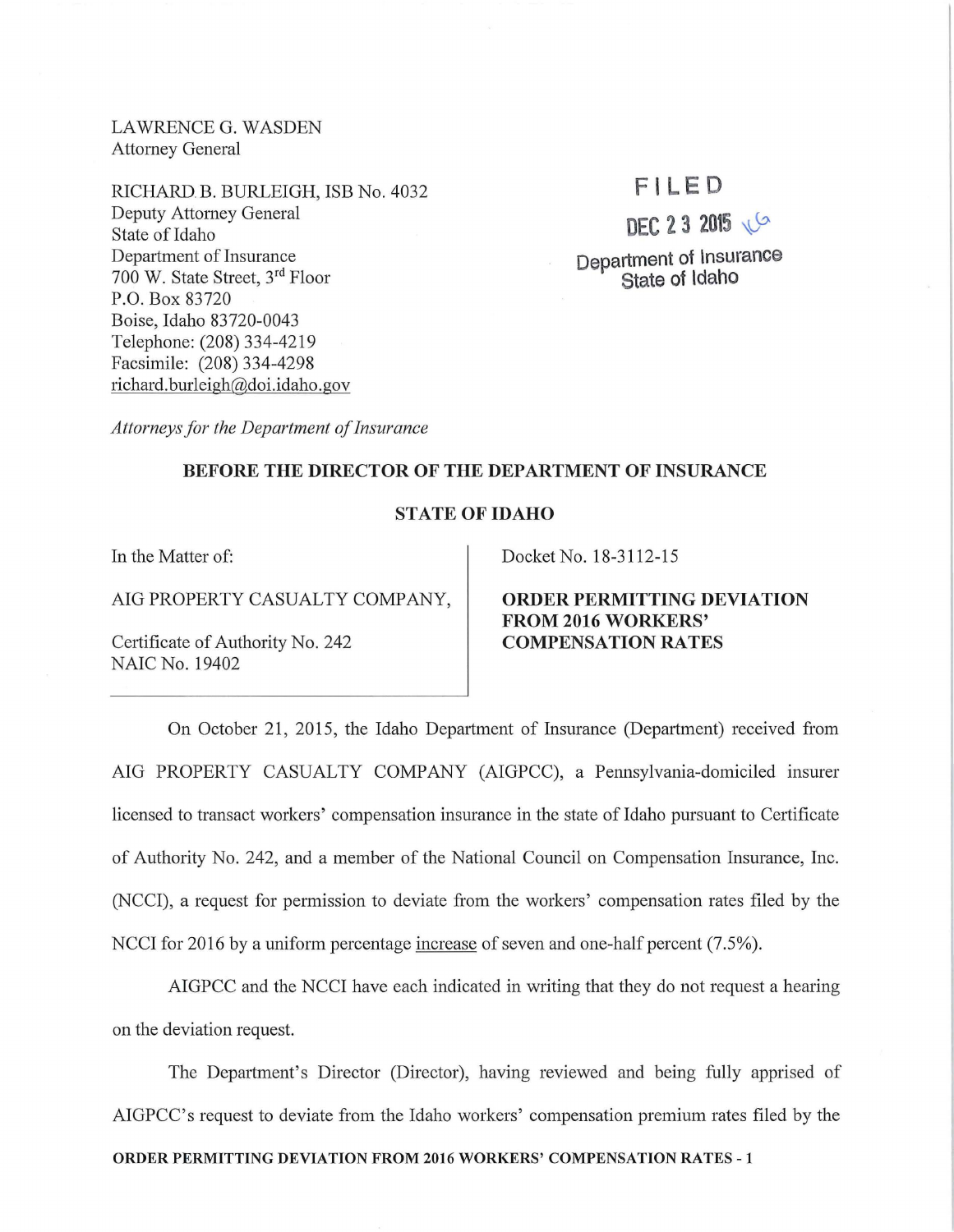LAWRENCE G. WASDEN Attorney General

RICHARD B. BURLEIGH, ISB No. 4032 Deputy Attorney General State of Idaho Department of Insurance 700 W. State Street, 3rd Floor P.O. Box 83720 Boise, Idaho 83720-0043 Telephone: (208) 334-4219 Facsimile: (208) 334-4298 richard. burleigh@doi.idaho.gov

## **F l LED**

# **DEC 2 3 2015**

**Department of Insurance State of Idaho** 

*Attorneys for the Department of Insurance* 

#### **BEFORE THE DIRECTOR OF THE DEPARTMENT OF INSURANCE**

#### **STATE OF IDAHO**

In the Matter of:

AIG PROPERTY CASUALTY COMPANY,

Certificate of Authority No. 242 NAIC No. 19402

Docket No. 18-3112-15

### **ORDER PERMITTING DEVIATION FROM 2016 WORKERS' COMPENSATION RA TES**

On October 21, 2015, the Idaho Department of Insurance (Department) received from AIG PROPERTY CASUALTY COMPANY (AIGPCC), a Pennsylvania-domiciled insurer licensed to transact workers' compensation insurance in the state of Idaho pursuant to Certificate of Authority No. 242, and a member of the National Council on Compensation Insurance, Inc. (NCCI), a request for permission to deviate from the workers' compensation rates filed by the NCCI for 2016 by a uniform percentage increase of seven and one-half percent (7.5%).

AIGPCC and the NCCI have each indicated in writing that they do not request a hearing on the deviation request.

The Department's Director (Director), having reviewed and being fully apprised of AIGPCC's request to deviate from the Idaho workers' compensation premium rates filed by the **ORDER PERMITTING DEVIATION FROM 2016 WORKERS' COMPENSATION RATES -1**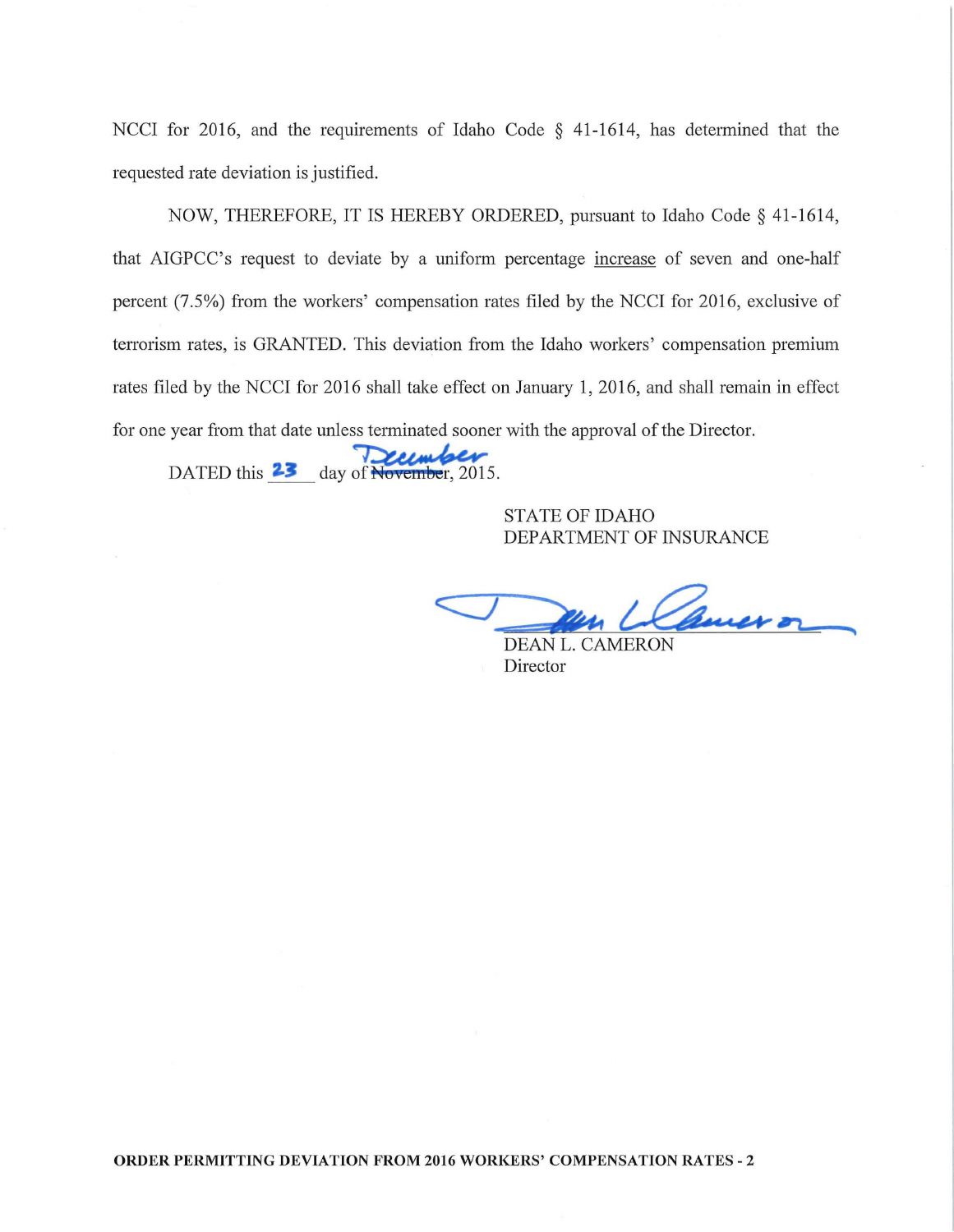NCCI for 2016, and the requirements of Idaho Code  $\S$  41-1614, has determined that the requested rate deviation is justified.

NOW, THEREFORE, IT IS HEREBY ORDERED, pursuant to Idaho Code§ 41-1614, that AIGPCC's request to deviate by a uniform percentage increase of seven and one-half percent (7.5%) from the workers' compensation rates filed by the NCCI for 2016, exclusive of terrorism rates, is GRANTED. This deviation from the Idaho workers' compensation premium rates filed by the NCCI for 2016 shall take effect on January 1, 2016, and shall remain in effect **For one year from that date unless terminated sooner with the approval of the Director.**<br>DATED this **2.3** day of November, 2015.

STATE OF IDAHO DEPARTMENT OF INSURANCE

*<J*  Bauer or

DEAN L. CAMERON Director